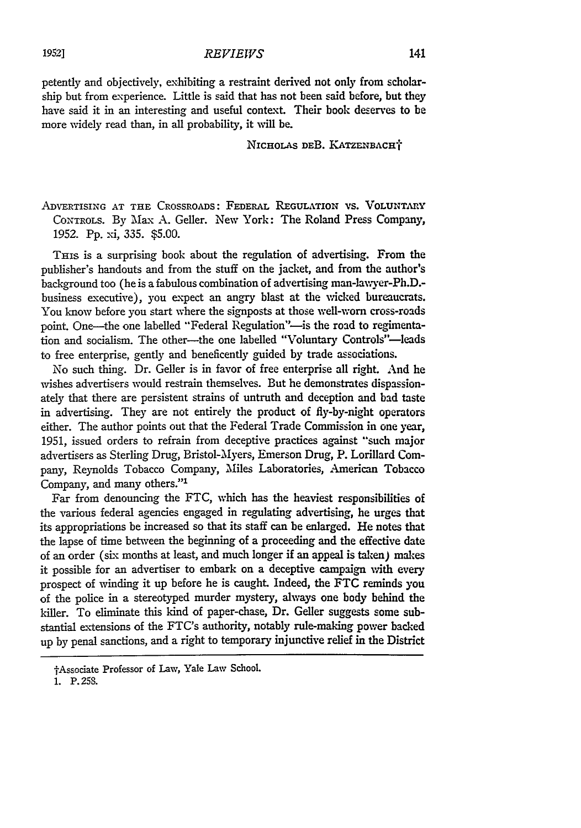## *REVIEWS*

petently and objectively, exhibiting a restraint derived not only from scholarship but from experience. Little is said that has not been said before, but they have said it in an interesting and useful context. Their book deserves to be more widely read than, in all probability, it will be.

**NICHOLAS DEB. KATZEMBACH'"**

ADVERTISING **AT THE** CROSSROADS: FEDERAL REGULATION **vS. VOLUNTAY** CONTROLS. By Max A. Geller. New York: The Roland Press Company, 1952. Pp. **:6,** 335. \$5.00.

THIS is a surprising book about the regulation of advertising. From the publisher's handouts and from the stuff on the jacket, and from the author's background too (he is a fabulous combination of advertising man-lawyer-Ph.D. business executive), you expect an angry blast at the wicked bureaucrats. You know before you start where the signposts at those well-worn cross-roads point. One-the one labelled "Federal Regulation"-is the road to regimentation and socialism. The other-the one labelled "Voluntary Controls"-leads to free enterprise, gently and beneficently guided by trade associations.

No such thing. Dr. Geller is in favor of free enterprise all right. And he wishes advertisers would restrain themselves. But he demonstrates dispassionately that there are persistent strains of untruth and deception and bad taste in advertising. They are not entirely the product of fly-by-night operators either. The author points out that the Federal Trade Commission in one year, 1951, issued orders to refrain from deceptive practices against "such major advertisers as Sterling Drug, Bristol-Myers, Emerson Drug, P. Lorillard Company, Reynolds Tobacco Company, Miles Laboratories, American Tobacco Company, and many others."'

Far from denouncing the FTC, which has the heaviest responsibilities **of** the various federal agencies engaged in regulating advertising, he urges that its appropriations be increased so that its staff can be enlarged. He notes that the lapse of time between the begirming of a proceeding and the effective date of an order (six months at least, and much longer if an appeal is taken) makes it possible for an advertiser to embark on a deceptive campaign with every prospect of winding it up before he is caught. Indeed, the FTC reminds you of the police in a stereotyped murder mystery, always one body behind the killer. To eliminate this kind of paper-chase, Dr. Geller suggests some substantial extensions of the FTC's authority, notably rule-making power backed up by penal sanctions, and a right to temporary injunctive relief in the District

*1952]*

<sup>-</sup>Assodate Professor of Law, Yale Law School.

<sup>1.</sup> P. 258.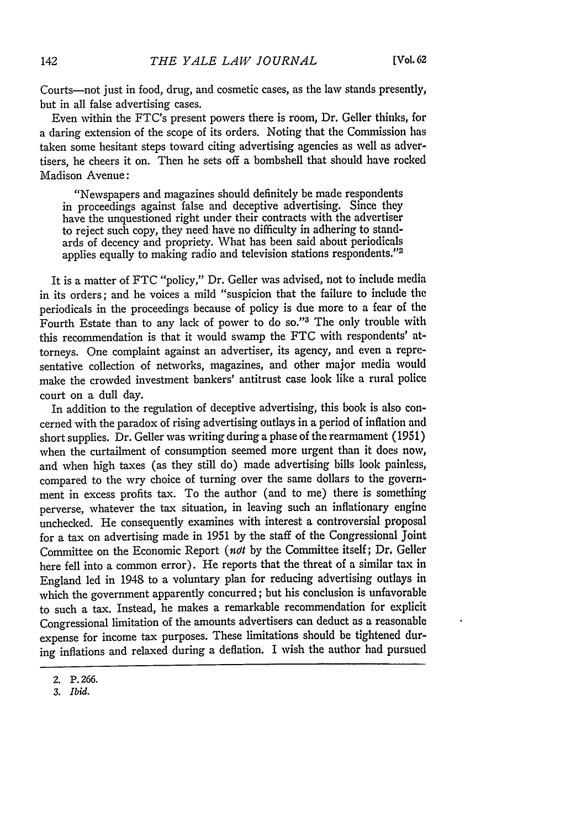Courts—not just in food, drug, and cosmetic cases, as the law stands presently, but in all false advertising cases.

Even within the FTC's present powers there is room, Dr. Geller thinks, for a daring extension of the scope of its orders. Noting that the Commission has taken some hesitant steps toward citing advertising agencies as well as advertisers, he cheers it on. Then he sets off a bombshell that should have rocked Madison Avenue:

"Newspapers and magazines should definitely be made respondents in proceedings against false and deceptive advertising. Since they have the unquestioned right under their contracts with the advertiser to reject such copy, they need have no difficulty in adhering to standards of decency and propriety. What has been said about periodicals applies equally to making radio and television stations respondents."<sup>2</sup>

It is a matter of FTC "policy," Dr. Geller was advised, not to include media in its orders; and he voices a mild "suspicion that the failure to include the periodicals in the proceedings because of policy is due more to a fear of the Fourth Estate than to any lack of power to do so."<sup>3</sup> The only trouble with this recommendation is that it would swamp the FTC with respondents' attorneys. One complaint against an advertiser, its agency, and even a representative collection of networks, magazines, and other major media would make the crowded investment bankers' antitrust case look like a rural police court on a dull day.

In addition to the regulation of deceptive advertising, this book is also concerned with the paradox of rising advertising outlays in a period of inflation and short supplies. Dr. Geller was writing during a phase of the rearmament (1951) when the curtailment of consumption seemed more urgent than it does now, and when high taxes (as they still do) made advertising bills look painless, compared to the wry choice of turning over the same dollars to the government in excess profits tax. To the author (and to me) there is something perverse, whatever the tax situation, in leaving such an inflationary engine unchecked. He consequently examines with interest a controversial proposal for a tax on advertising made in 1951 **by** the staff of the Congressional Joint Committee on the Economic Report (ndt **by** the Committee itself; Dr. Geller here fell into a common error). He reports that the threat of a similar tax in England led in 1948 to a voluntary plan for reducing advertising outlays in which the government apparently concurred; but his conclusion is unfavorable to such a tax. Instead, he makes a remarkable recommendation for explicit Congressional limitation of the amounts advertisers can deduct as a reasonable expense for income tax purposes. These limitations should be tightened during inflations and relaxed during a deflation. I wish the author had pursued

*3. Ibid.*

<sup>2.</sup> P. **266.**